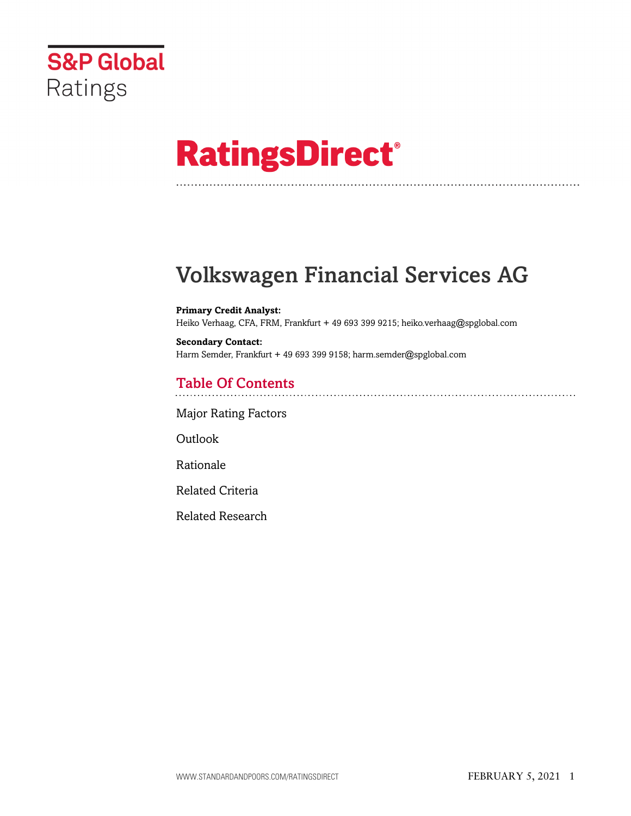

# **RatingsDirect®**

# Volkswagen Financial Services AG

**Primary Credit Analyst:** Heiko Verhaag, CFA, FRM, Frankfurt + 49 693 399 9215; heiko.verhaag@spglobal.com

**Secondary Contact:** Harm Semder, Frankfurt + 49 693 399 9158; harm.semder@spglobal.com

# Table Of Contents

[Major Rating Factors](#page-1-0)

Outlook

[Rationale](#page-1-1)

[Related Criteria](#page-4-0)

[Related Research](#page-4-1)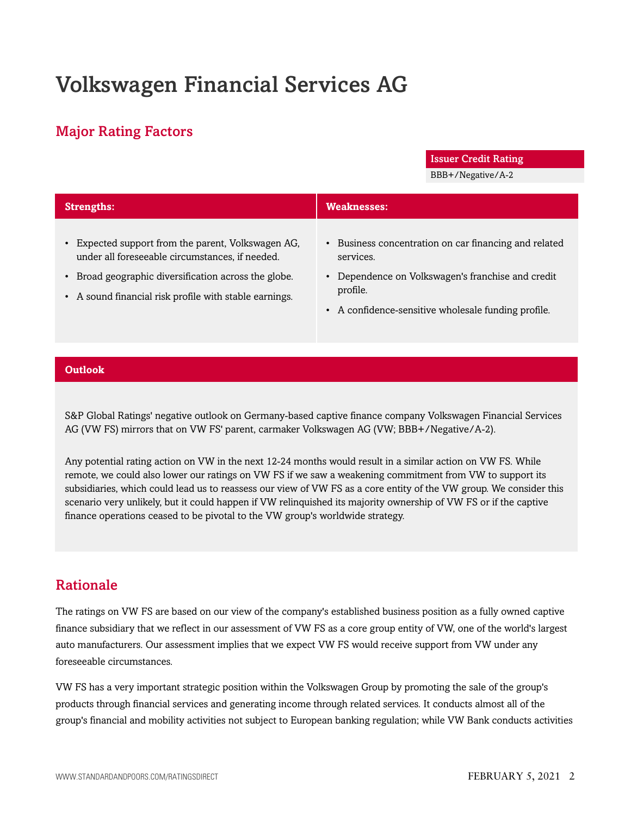# Volkswagen Financial Services AG

### <span id="page-1-0"></span>Major Rating Factors

Issuer Credit Rating

BBB+/Negative/A-2

| <b>Weaknesses:</b><br><b>Strengths:</b>                                                                                    |                                                                                                          |
|----------------------------------------------------------------------------------------------------------------------------|----------------------------------------------------------------------------------------------------------|
|                                                                                                                            |                                                                                                          |
| Expected support from the parent, Volkswagen AG,<br>under all foreseeable circumstances, if needed.<br>services.           | • Business concentration on car financing and related                                                    |
| • Broad geographic diversification across the globe.<br>profile.<br>• A sound financial risk profile with stable earnings. | • Dependence on Volkswagen's franchise and credit<br>• A confidence-sensitive wholesale funding profile. |

#### **Outlook**

S&P Global Ratings' negative outlook on Germany-based captive finance company Volkswagen Financial Services AG (VW FS) mirrors that on VW FS' parent, carmaker Volkswagen AG (VW; BBB+/Negative/A-2).

Any potential rating action on VW in the next 12-24 months would result in a similar action on VW FS. While remote, we could also lower our ratings on VW FS if we saw a weakening commitment from VW to support its subsidiaries, which could lead us to reassess our view of VW FS as a core entity of the VW group. We consider this scenario very unlikely, but it could happen if VW relinquished its majority ownership of VW FS or if the captive finance operations ceased to be pivotal to the VW group's worldwide strategy.

### <span id="page-1-1"></span>Rationale

The ratings on VW FS are based on our view of the company's established business position as a fully owned captive finance subsidiary that we reflect in our assessment of VW FS as a core group entity of VW, one of the world's largest auto manufacturers. Our assessment implies that we expect VW FS would receive support from VW under any foreseeable circumstances.

VW FS has a very important strategic position within the Volkswagen Group by promoting the sale of the group's products through financial services and generating income through related services. It conducts almost all of the group's financial and mobility activities not subject to European banking regulation; while VW Bank conducts activities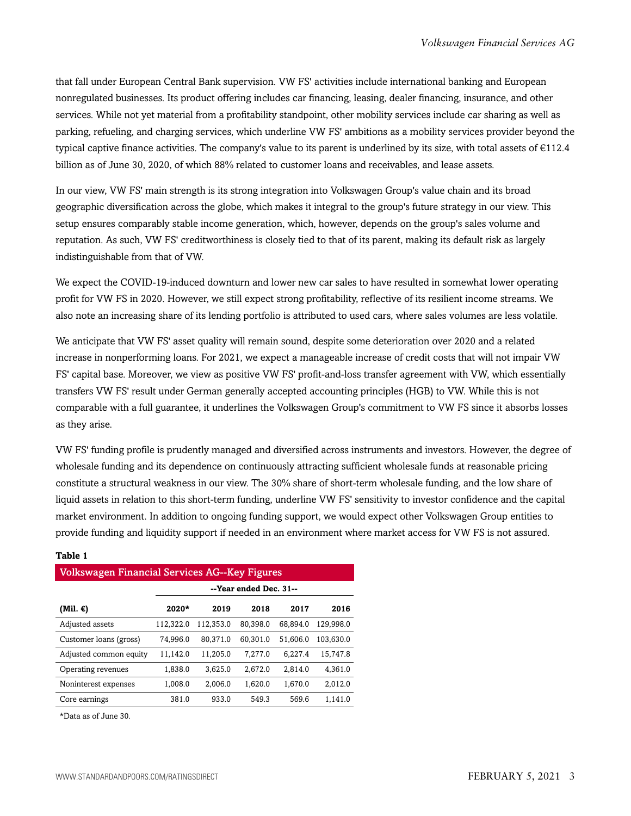that fall under European Central Bank supervision. VW FS' activities include international banking and European nonregulated businesses. Its product offering includes car financing, leasing, dealer financing, insurance, and other services. While not yet material from a profitability standpoint, other mobility services include car sharing as well as parking, refueling, and charging services, which underline VW FS' ambitions as a mobility services provider beyond the typical captive finance activities. The company's value to its parent is underlined by its size, with total assets of €112.4 billion as of June 30, 2020, of which 88% related to customer loans and receivables, and lease assets.

In our view, VW FS' main strength is its strong integration into Volkswagen Group's value chain and its broad geographic diversification across the globe, which makes it integral to the group's future strategy in our view. This setup ensures comparably stable income generation, which, however, depends on the group's sales volume and reputation. As such, VW FS' creditworthiness is closely tied to that of its parent, making its default risk as largely indistinguishable from that of VW.

We expect the COVID-19-induced downturn and lower new car sales to have resulted in somewhat lower operating profit for VW FS in 2020. However, we still expect strong profitability, reflective of its resilient income streams. We also note an increasing share of its lending portfolio is attributed to used cars, where sales volumes are less volatile.

We anticipate that VW FS' asset quality will remain sound, despite some deterioration over 2020 and a related increase in nonperforming loans. For 2021, we expect a manageable increase of credit costs that will not impair VW FS' capital base. Moreover, we view as positive VW FS' profit-and-loss transfer agreement with VW, which essentially transfers VW FS' result under German generally accepted accounting principles (HGB) to VW. While this is not comparable with a full guarantee, it underlines the Volkswagen Group's commitment to VW FS since it absorbs losses as they arise.

VW FS' funding profile is prudently managed and diversified across instruments and investors. However, the degree of wholesale funding and its dependence on continuously attracting sufficient wholesale funds at reasonable pricing constitute a structural weakness in our view. The 30% share of short-term wholesale funding, and the low share of liquid assets in relation to this short-term funding, underline VW FS' sensitivity to investor confidence and the capital market environment. In addition to ongoing funding support, we would expect other Volkswagen Group entities to provide funding and liquidity support if needed in an environment where market access for VW FS is not assured.

| <u>VUINSWARCH I IIIAIIUIAI JEI VICES AU--IVEY I IRUI ES</u> |                        |           |          |          |           |  |  |
|-------------------------------------------------------------|------------------------|-----------|----------|----------|-----------|--|--|
|                                                             | --Year ended Dec. 31-- |           |          |          |           |  |  |
| (Mil. €)                                                    | 2020*                  | 2019      | 2018     | 2017     | 2016      |  |  |
| Adjusted assets                                             | 112,322.0              | 112,353.0 | 80,398.0 | 68.894.0 | 129.998.0 |  |  |
| Customer loans (gross)                                      | 74,996.0               | 80,371.0  | 60.301.0 | 51,606.0 | 103,630.0 |  |  |
| Adjusted common equity                                      | 11,142.0               | 11,205.0  | 7,277.0  | 6,227.4  | 15,747.8  |  |  |
| Operating revenues                                          | 1,838.0                | 3.625.0   | 2,672.0  | 2.814.0  | 4.361.0   |  |  |
| Noninterest expenses                                        | 1,008.0                | 2.006.0   | 1,620.0  | 1,670.0  | 2,012.0   |  |  |
| Core earnings                                               | 381.0                  | 933.0     | 549.3    | 569.6    | 1.141.0   |  |  |

 $\sim \Lambda C - V \sim \mathbb{R}^2$ 

#### **Table 1**

\*Data as of June 30.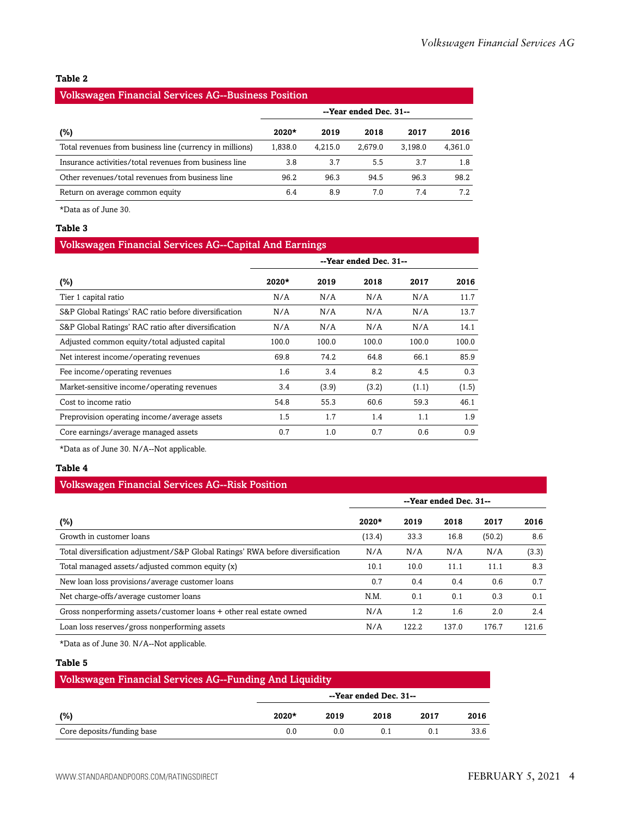#### **Table 2**

#### Volkswagen Financial Services AG--Business Position

|                                                          | --Year ended Dec. 31-- |         |         |         |         |
|----------------------------------------------------------|------------------------|---------|---------|---------|---------|
| (%)                                                      | $2020*$                | 2019    | 2018    | 2017    | 2016    |
| Total revenues from business line (currency in millions) | 1.838.0                | 4.215.0 | 2.679.0 | 3.198.0 | 4,361.0 |
| Insurance activities/total revenues from business line   | 3.8                    | 3.7     | 5.5     | 37      | 1.8     |
| Other revenues/total revenues from business line         | 96.2                   | 96.3    | 94.5    | 96.3    | 98.2    |
| Return on average common equity                          | 6.4                    | 8.9     | 7.0     | 7.4     | 7.2     |

\*Data as of June 30.

#### **Table 3**

#### Volkswagen Financial Services AG--Capital And Earnings

|                                                      |         |       | --Year ended Dec. 31-- |       |       |
|------------------------------------------------------|---------|-------|------------------------|-------|-------|
| $(\%)$                                               | $2020*$ | 2019  | 2018                   | 2017  | 2016  |
| Tier 1 capital ratio                                 | N/A     | N/A   | N/A                    | N/A   | 11.7  |
| S&P Global Ratings' RAC ratio before diversification | N/A     | N/A   | N/A                    | N/A   | 13.7  |
| S&P Global Ratings' RAC ratio after diversification  | N/A     | N/A   | N/A                    | N/A   | 14.1  |
| Adjusted common equity/total adjusted capital        | 100.0   | 100.0 | 100.0                  | 100.0 | 100.0 |
| Net interest income/operating revenues               | 69.8    | 74.2  | 64.8                   | 66.1  | 85.9  |
| Fee income/operating revenues                        | 1.6     | 3.4   | 8.2                    | 4.5   | 0.3   |
| Market-sensitive income/operating revenues           | 3.4     | (3.9) | (3.2)                  | (1.1) | (1.5) |
| Cost to income ratio                                 | 54.8    | 55.3  | 60.6                   | 59.3  | 46.1  |
| Preprovision operating income/average assets         | 1.5     | 1.7   | 1.4                    | 1.1   | 1.9   |
| Core earnings/average managed assets                 | 0.7     | 1.0   | 0.7                    | 0.6   | 0.9   |

\*Data as of June 30. N/A--Not applicable.

#### **Table 4**

#### Volkswagen Financial Services AG--Risk Position

|                                                                                 | --Year ended Dec. 31-- |       |       |        |       |
|---------------------------------------------------------------------------------|------------------------|-------|-------|--------|-------|
| $(\%)$                                                                          | $2020*$                | 2019  | 2018  | 2017   | 2016  |
| Growth in customer loans                                                        | (13.4)                 | 33.3  | 16.8  | (50.2) | 8.6   |
| Total diversification adjustment/S&P Global Ratings' RWA before diversification | N/A                    | N/A   | N/A   | N/A    | (3.3) |
| Total managed assets/adjusted common equity (x)                                 | 10.1                   | 10.0  | 11.1  | 11.1   | 8.3   |
| New loan loss provisions/average customer loans                                 | 0.7                    | 0.4   | 0.4   | 0.6    | 0.7   |
| Net charge-offs/average customer loans                                          | N.M.                   | 0.1   | 0.1   | 0.3    | 0.1   |
| Gross nonperforming assets/customer loans + other real estate owned             | N/A                    | 1.2   | 1.6   | 2.0    | 2.4   |
| Loan loss reserves/gross nonperforming assets                                   | N/A                    | 122.2 | 137.0 | 176.7  | 121.6 |

\*Data as of June 30. N/A--Not applicable.

#### **Table 5**

| Volkswagen Financial Services AG--Funding And Liquidity |         |      |                        |      |      |
|---------------------------------------------------------|---------|------|------------------------|------|------|
|                                                         |         |      | --Year ended Dec. 31-- |      |      |
| (%)                                                     | $2020*$ | 2019 | 2018                   | 2017 | 2016 |
| Core deposits/funding base                              | 0.0     | 0.0  | 0.1                    | 0.1  | 33.6 |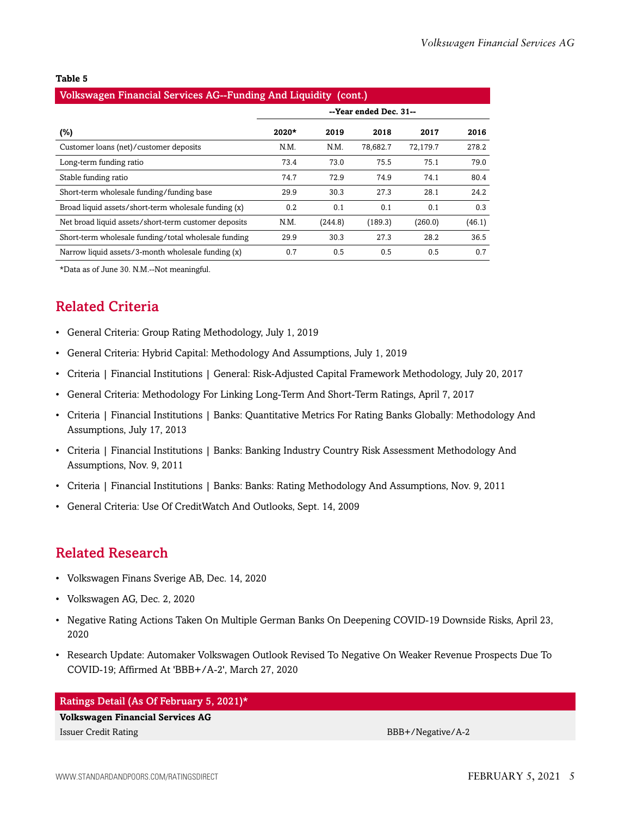#### **Table 5**

#### Volkswagen Financial Services AG--Funding And Liquidity (cont.)

|                                                      | --Year ended Dec. 31-- |         |          |          |        |
|------------------------------------------------------|------------------------|---------|----------|----------|--------|
| (%)                                                  | $2020*$                | 2019    | 2018     | 2017     | 2016   |
| Customer loans (net)/customer deposits               | N.M.                   | N.M.    | 78,682.7 | 72.179.7 | 278.2  |
| Long-term funding ratio                              | 73.4                   | 73.0    | 75.5     | 75.1     | 79.0   |
| Stable funding ratio                                 | 74.7                   | 72.9    | 74.9     | 74.1     | 80.4   |
| Short-term wholesale funding/funding base            | 29.9                   | 30.3    | 27.3     | 28.1     | 24.2   |
| Broad liquid assets/short-term wholesale funding (x) | 0.2                    | 0.1     | 0.1      | 0.1      | 0.3    |
| Net broad liquid assets/short-term customer deposits | N.M.                   | (244.8) | (189.3)  | (260.0)  | (46.1) |
| Short-term wholesale funding/total wholesale funding | 29.9                   | 30.3    | 27.3     | 28.2     | 36.5   |
| Narrow liquid assets/3-month wholesale funding (x)   | 0.7                    | 0.5     | 0.5      | 0.5      | 0.7    |

<span id="page-4-0"></span>\*Data as of June 30. N.M.--Not meaningful.

## Related Criteria

- General Criteria: Group Rating Methodology, July 1, 2019
- General Criteria: Hybrid Capital: Methodology And Assumptions, July 1, 2019
- Criteria | Financial Institutions | General: Risk-Adjusted Capital Framework Methodology, July 20, 2017
- General Criteria: Methodology For Linking Long-Term And Short-Term Ratings, April 7, 2017
- Criteria | Financial Institutions | Banks: Quantitative Metrics For Rating Banks Globally: Methodology And Assumptions, July 17, 2013
- Criteria | Financial Institutions | Banks: Banking Industry Country Risk Assessment Methodology And Assumptions, Nov. 9, 2011
- Criteria | Financial Institutions | Banks: Banks: Rating Methodology And Assumptions, Nov. 9, 2011
- General Criteria: Use Of CreditWatch And Outlooks, Sept. 14, 2009

### <span id="page-4-1"></span>Related Research

- Volkswagen Finans Sverige AB, Dec. 14, 2020
- Volkswagen AG, Dec. 2, 2020
- Negative Rating Actions Taken On Multiple German Banks On Deepening COVID-19 Downside Risks, April 23, 2020
- Research Update: Automaker Volkswagen Outlook Revised To Negative On Weaker Revenue Prospects Due To COVID-19; Affirmed At 'BBB+/A-2', March 27, 2020

#### Ratings Detail (As Of February 5, 2021)\*

**Volkswagen Financial Services AG** Issuer Credit Rating BBB+/Negative/A-2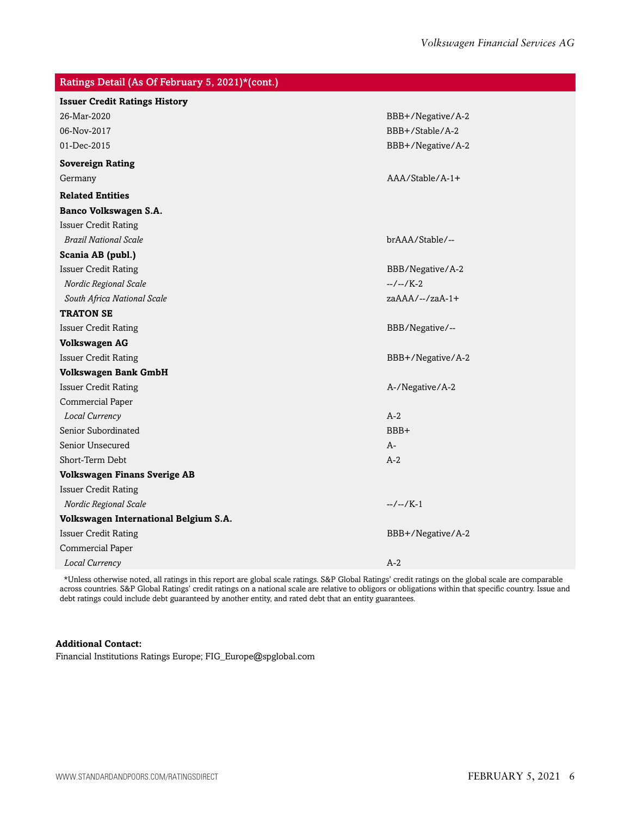| Ratings Detail (As Of February 5, 2021)*(cont.)                                                                                                                                                                                |                   |
|--------------------------------------------------------------------------------------------------------------------------------------------------------------------------------------------------------------------------------|-------------------|
| <b>Issuer Credit Ratings History</b>                                                                                                                                                                                           |                   |
| 26-Mar-2020                                                                                                                                                                                                                    | BBB+/Negative/A-2 |
| 06-Nov-2017                                                                                                                                                                                                                    | BBB+/Stable/A-2   |
| 01-Dec-2015                                                                                                                                                                                                                    | BBB+/Negative/A-2 |
| <b>Sovereign Rating</b>                                                                                                                                                                                                        |                   |
| Germany                                                                                                                                                                                                                        | $AAA/Stable/A-1+$ |
| <b>Related Entities</b>                                                                                                                                                                                                        |                   |
| Banco Volkswagen S.A.                                                                                                                                                                                                          |                   |
| <b>Issuer Credit Rating</b>                                                                                                                                                                                                    |                   |
| <b>Brazil National Scale</b>                                                                                                                                                                                                   | brAAA/Stable/--   |
| Scania AB (publ.)                                                                                                                                                                                                              |                   |
| <b>Issuer Credit Rating</b>                                                                                                                                                                                                    | BBB/Negative/A-2  |
| Nordic Regional Scale                                                                                                                                                                                                          | $-/-/K-2$         |
| South Africa National Scale                                                                                                                                                                                                    | $zaAAA/--/zaA-1+$ |
| <b>TRATON SE</b>                                                                                                                                                                                                               |                   |
| <b>Issuer Credit Rating</b>                                                                                                                                                                                                    | BBB/Negative/--   |
| <b>Volkswagen AG</b>                                                                                                                                                                                                           |                   |
| <b>Issuer Credit Rating</b>                                                                                                                                                                                                    | BBB+/Negative/A-2 |
| <b>Volkswagen Bank GmbH</b>                                                                                                                                                                                                    |                   |
| <b>Issuer Credit Rating</b>                                                                                                                                                                                                    | A-/Negative/A-2   |
| Commercial Paper                                                                                                                                                                                                               |                   |
| Local Currency                                                                                                                                                                                                                 | $A-2$             |
| Senior Subordinated                                                                                                                                                                                                            | BBB+              |
| Senior Unsecured                                                                                                                                                                                                               | $A-$              |
| Short-Term Debt                                                                                                                                                                                                                | $A-2$             |
| <b>Volkswagen Finans Sverige AB</b>                                                                                                                                                                                            |                   |
| <b>Issuer Credit Rating</b>                                                                                                                                                                                                    |                   |
| Nordic Regional Scale                                                                                                                                                                                                          | $-/-/K-1$         |
| Volkswagen International Belgium S.A.                                                                                                                                                                                          |                   |
| <b>Issuer Credit Rating</b>                                                                                                                                                                                                    | BBB+/Negative/A-2 |
| Commercial Paper                                                                                                                                                                                                               |                   |
| Local Currency                                                                                                                                                                                                                 | $A-2$             |
| the best of the company of the contract the contract of the contraction of the contract of the contract of the contract of the theory of the contract of the contract of the contract of the contract of the contract of the c |                   |

\*Unless otherwise noted, all ratings in this report are global scale ratings. S&P Global Ratings' credit ratings on the global scale are comparable across countries. S&P Global Ratings' credit ratings on a national scale are relative to obligors or obligations within that specific country. Issue and debt ratings could include debt guaranteed by another entity, and rated debt that an entity guarantees.

#### **Additional Contact:**

Financial Institutions Ratings Europe; FIG\_Europe@spglobal.com